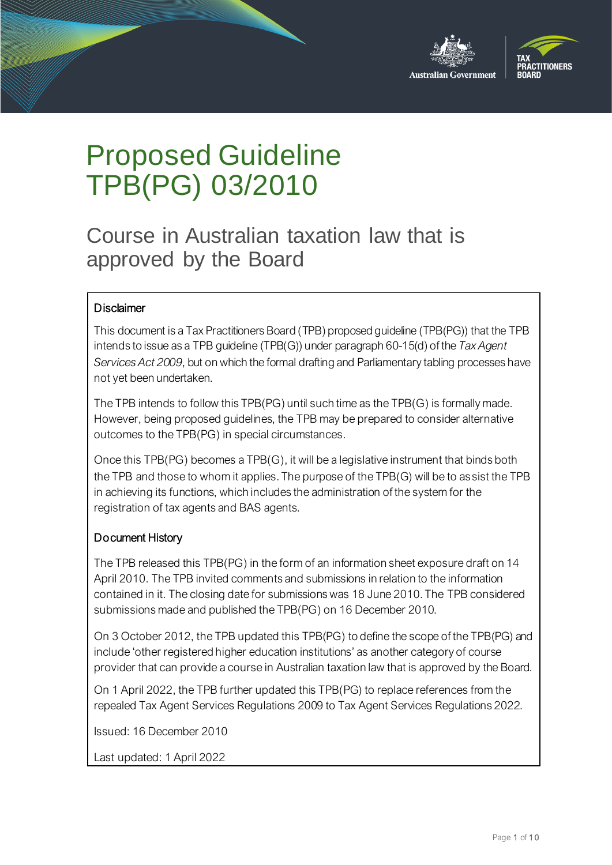



# Proposed Guideline TPB(PG) 03/2010

Course in Australian taxation law that is approved by the Board

#### **Disclaimer**

This document is a Tax Practitioners Board (TPB) proposed guideline (TPB(PG)) that the TPB intends to issue as a TPB guideline (TPB(G)) under paragraph 60-15(d) of the *Tax Agent Services Act 2009*, but on which the formal drafting and Parliamentary tabling processes have not yet been undertaken.

The TPB intends to follow this TPB(PG) until such time as the TPB(G) is formally made. However, being proposed guidelines, the TPB may be prepared to consider alternative outcomes to the TPB(PG) in special circumstances.

Once this TPB(PG) becomes a TPB(G), it will be a legislative instrument that binds both the TPB and those to whom it applies. The purpose of the TPB(G) will be to assist the TPB in achieving its functions, which includes the administration of the system for the registration of tax agents and BAS agents.

#### Document History

The TPB released this TPB(PG) in the form of an information sheet exposure draft on 14 April 2010. The TPB invited comments and submissions in relation to the information contained in it. The closing date for submissions was 18 June 2010. The TPB considered submissions made and published the TPB(PG) on 16 December 2010.

On 3 October 2012, the TPB updated this TPB(PG) to define the scope of the TPB(PG) and include 'other registered higher education institutions' as another category of course provider that can provide a course in Australian taxation law that is approved by the Board.

On 1 April 2022, the TPB further updated this TPB(PG) to replace references from the repealed Tax Agent Services Regulations 2009 to Tax Agent Services Regulations 2022.

Issued: 16 December 2010

Last updated: 1 April 2022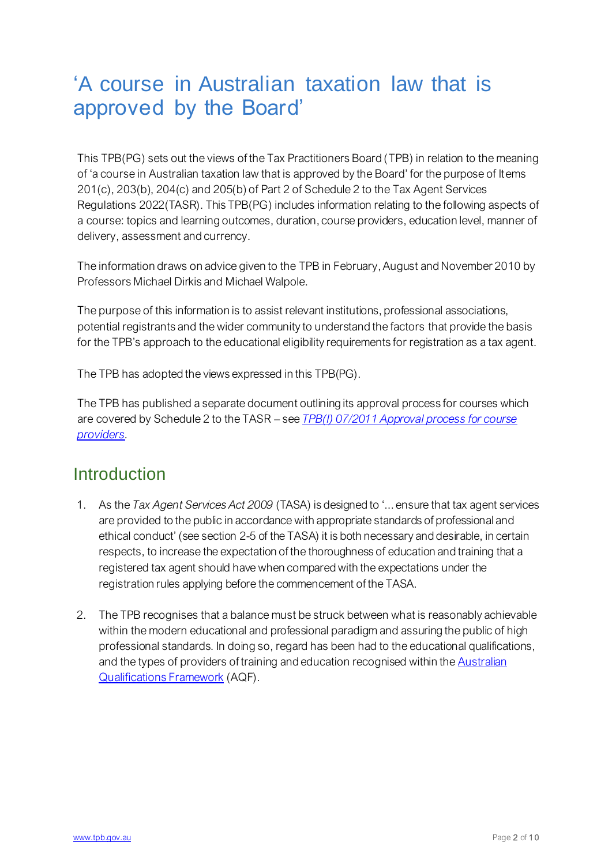# 'A course in Australian taxation law that is approved by the Board'

This TPB(PG) sets out the views of the Tax Practitioners Board (TPB) in relation to the meaning of 'a course in Australian taxation law that is approved by the Board' for the purpose of Items 201(c), 203(b), 204(c) and 205(b) of Part 2 of Schedule 2 to the Tax Agent Services Regulations 2022(TASR). This TPB(PG) includes information relating to the following aspects of a course: topics and learning outcomes, duration, course providers, education level, manner of delivery, assessment and currency.

The information draws on advice given to the TPB in February, August and November 2010 by Professors Michael Dirkis and Michael Walpole.

The purpose of this information is to assist relevant institutions, professional associations, potential registrants and the wider community to understand the factors that provide the basis for the TPB's approach to the educational eligibility requirements for registration as a tax agent.

The TPB has adopted the views expressed in this TPB(PG).

The TPB has published a separate document outlining its approval process for courses which are covered by Schedule 2 to the TASR – see *[TPB\(I\) 07/2011 Approval process for course](https://www.tpb.gov.au/approval-process-course-providers-tpb-information-sheet-tpbi-072011)  [providers](https://www.tpb.gov.au/approval-process-course-providers-tpb-information-sheet-tpbi-072011).*

## **Introduction**

- 1. As the *Tax Agent Services Act 2009* (TASA) is designed to '... ensure that tax agent services are provided to the public in accordance with appropriate standards of professional and ethical conduct' (see section 2-5 of the TASA) it is both necessary and desirable, in certain respects, to increase the expectation of the thoroughness of education and training that a registered tax agent should have when compared with the expectations under the registration rules applying before the commencement of the TASA.
- 2. The TPB recognises that a balance must be struck between what is reasonably achievable within the modern educational and professional paradigm and assuring the public of high professional standards. In doing so, regard has been had to the educational qualifications, and the types of providers of training and education recognised within the **Australian** [Qualifications Framework](http://www.aqf.edu.au/) (AQF).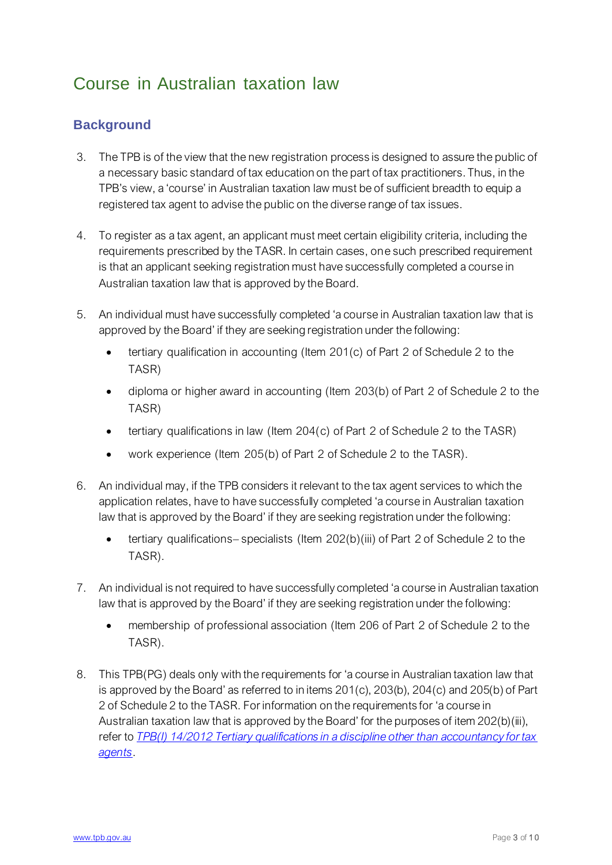# Course in Australian taxation law

#### **Background**

- 3. The TPB is of the view that the new registration process is designed to assure the public of a necessary basic standard of tax education on the part of tax practitioners. Thus, in the TPB's view, a 'course' in Australian taxation law must be of sufficient breadth to equip a registered tax agent to advise the public on the diverse range of tax issues.
- 4. To register as a tax agent, an applicant must meet certain eligibility criteria, including the requirements prescribed by the TASR. In certain cases, one such prescribed requirement is that an applicant seeking registration must have successfully completed a course in Australian taxation law that is approved by the Board.
- 5. An individual must have successfully completed 'a course in Australian taxation law that is approved by the Board' if they are seeking registration under the following:
	- tertiary qualification in accounting (Item 201(c) of Part 2 of Schedule 2 to the TASR)
	- diploma or higher award in accounting (Item 203(b) of Part 2 of Schedule 2 to the TASR)
	- tertiary qualifications in law (Item 204(c) of Part 2 of Schedule 2 to the TASR)
	- work experience (Item 205(b) of Part 2 of Schedule 2 to the TASR).
- 6. An individual may, if the TPB considers it relevant to the tax agent services to which the application relates, have to have successfully completed 'a course in Australian taxation law that is approved by the Board' if they are seeking registration under the following:
	- tertiary qualifications– specialists (Item 202(b)(iii) of Part 2 of Schedule 2 to the TASR).
- 7. An individual is not required to have successfully completed 'a course in Australian taxation law that is approved by the Board' if they are seeking registration under the following:
	- membership of professional association (Item 206 of Part 2 of Schedule 2 to the TASR).
- 8. This TPB(PG) deals only with the requirements for 'a course in Australian taxation law that is approved by the Board' as referred to in items 201(c), 203(b), 204(c) and 205(b) of Part 2 of Schedule 2 to the TASR. For information on the requirements for 'a course in Australian taxation law that is approved by the Board' for the purposes of item 202(b)(iii), refer to *[TPB\(I\) 14/2012 Tertiary qualifications in a discipline other than accountancy for tax](https://www.tpb.gov.au/tertiary-qualifications-discipline-other-accountancy-tax-agents-tpb-information-sheet-tpbi-142012)  [agents](https://www.tpb.gov.au/tertiary-qualifications-discipline-other-accountancy-tax-agents-tpb-information-sheet-tpbi-142012)*.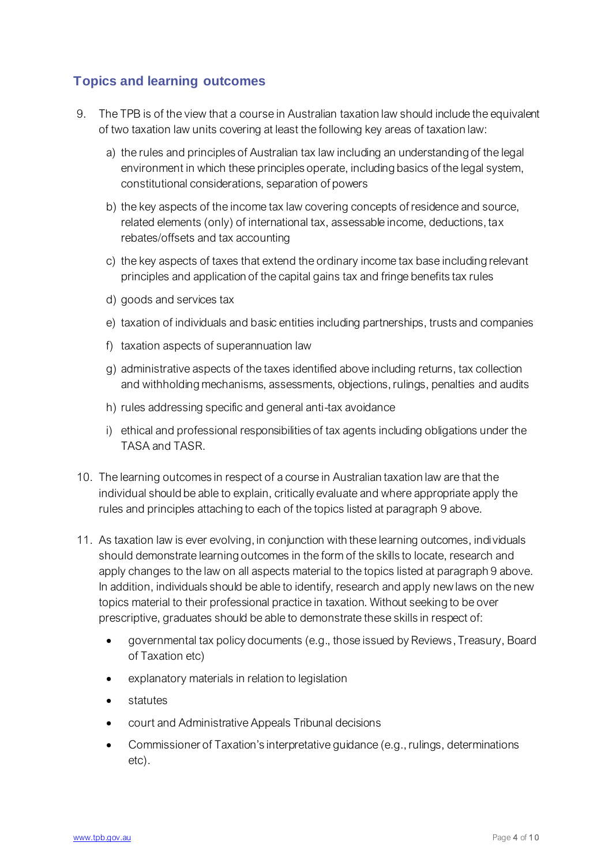#### **Topics and learning outcomes**

- 9. The TPB is of the view that a course in Australian taxation law should include the equivalent of two taxation law units covering at least the following key areas of taxation law:
	- a) the rules and principles of Australian tax law including an understanding of the legal environment in which these principles operate, including basics of the legal system, constitutional considerations, separation of powers
	- b) the key aspects of the income tax law covering concepts of residence and source, related elements (only) of international tax, assessable income, deductions, tax rebates/offsets and tax accounting
	- c) the key aspects of taxes that extend the ordinary income tax base including relevant principles and application of the capital gains tax and fringe benefits tax rules
	- d) goods and services tax
	- e) taxation of individuals and basic entities including partnerships, trusts and companies
	- f) taxation aspects of superannuation law
	- g) administrative aspects of the taxes identified above including returns, tax collection and withholding mechanisms, assessments, objections, rulings, penalties and audits
	- h) rules addressing specific and general anti-tax avoidance
	- i) ethical and professional responsibilities of tax agents including obligations under the TASA and TASR.
- 10. The learning outcomes in respect of a course in Australian taxation law are that the individual should be able to explain, critically evaluate and where appropriate apply the rules and principles attaching to each of the topics listed at paragraph 9 above.
- 11. As taxation law is ever evolving, in conjunction with these learning outcomes, individuals should demonstrate learning outcomes in the form of the skills to locate, research and apply changes to the law on all aspects material to the topics listed at paragraph 9 above. In addition, individuals should be able to identify, research and apply new laws on the new topics material to their professional practice in taxation. Without seeking to be over prescriptive, graduates should be able to demonstrate these skills in respect of:
	- governmental tax policy documents (e.g., those issued by Reviews, Treasury, Board of Taxation etc)
	- explanatory materials in relation to legislation
	- statutes
	- court and Administrative Appeals Tribunal decisions
	- Commissioner of Taxation's interpretative guidance (e.g., rulings, determinations etc).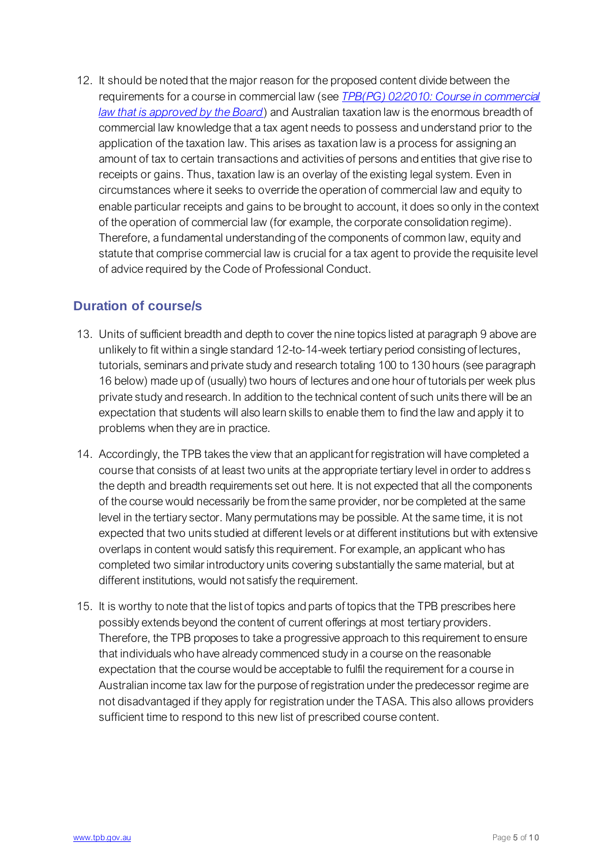12. It should be noted that the major reason for the proposed content divide between the requirements for a course in commercial law (see *[TPB\(PG\) 02/2010: Course in commercial](https://www.tpb.gov.au/course-commercial-law-approved-board-proposed-guideline-tpb-pg-02-2010)  [law that is approved by the Board](https://www.tpb.gov.au/course-commercial-law-approved-board-proposed-guideline-tpb-pg-02-2010)*) and Australian taxation law is the enormous breadth of commercial law knowledge that a tax agent needs to possess and understand prior to the application of the taxation law. This arises as taxation law is a process for assigning an amount of tax to certain transactions and activities of persons and entities that give rise to receipts or gains. Thus, taxation law is an overlay of the existing legal system. Even in circumstances where it seeks to override the operation of commercial law and equity to enable particular receipts and gains to be brought to account, it does so only in the context of the operation of commercial law (for example, the corporate consolidation regime). Therefore, a fundamental understanding of the components of common law, equity and statute that comprise commercial law is crucial for a tax agent to provide the requisite level of advice required by the Code of Professional Conduct.

#### **Duration of course/s**

- 13. Units of sufficient breadth and depth to cover the nine topics listed at paragraph 9 above are unlikely to fit within a single standard 12-to-14-week tertiary period consisting of lectures, tutorials, seminars and private study and research totaling 100 to 130 hours (see paragraph 16 below) made up of (usually) two hours of lectures and one hour of tutorials per week plus private study and research. In addition to the technical content of such units there will be an expectation that students will also learn skills to enable them to find the law and apply it to problems when they are in practice.
- 14. Accordingly, the TPB takes the view that an applicant for registration will have completed a course that consists of at least two units at the appropriate tertiary level in order to address the depth and breadth requirements set out here. It is not expected that all the components of the course would necessarily be from the same provider, nor be completed at the same level in the tertiary sector. Many permutations may be possible. At the same time, it is not expected that two units studied at different levels or at different institutions but with extensive overlaps in content would satisfy this requirement. For example, an applicant who has completed two similar introductory units covering substantially the same material, but at different institutions, would not satisfy the requirement.
- 15. It is worthy to note that the list of topics and parts of topics that the TPB prescribes here possibly extends beyond the content of current offerings at most tertiary providers. Therefore, the TPB proposes to take a progressive approach to this requirement to ensure that individuals who have already commenced study in a course on the reasonable expectation that the course would be acceptable to fulfil the requirement for a course in Australian income tax law for the purpose of registration under the predecessor regime are not disadvantaged if they apply for registration under the TASA. This also allows providers sufficient time to respond to this new list of prescribed course content.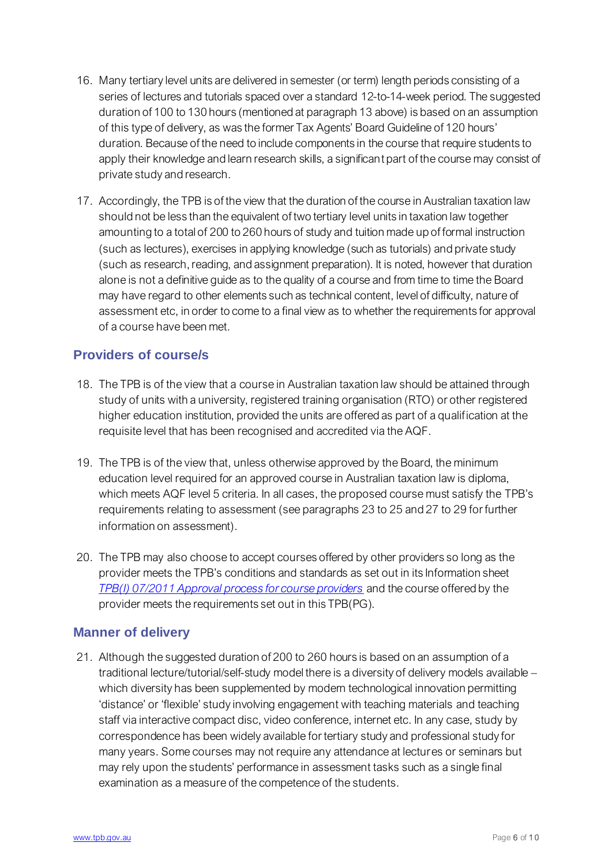- 16. Many tertiary level units are delivered in semester (or term) length periods consisting of a series of lectures and tutorials spaced over a standard 12-to-14-week period. The suggested duration of 100 to 130 hours (mentioned at paragraph 13 above) is based on an assumption of this type of delivery, as was the former Tax Agents' Board Guideline of 120 hours' duration. Because of the need to include components in the course that require students to apply their knowledge and learn research skills, a significant part of the course may consist of private study and research.
- 17. Accordingly, the TPB is of the view that the duration of the course in Australian taxation law should not be less than the equivalent of two tertiary level units in taxation law together amounting to a total of 200 to 260 hours of study and tuition made up of formal instruction (such as lectures), exercises in applying knowledge (such as tutorials) and private study (such as research, reading, and assignment preparation). It is noted, however that duration alone is not a definitive guide as to the quality of a course and from time to time the Board may have regard to other elements such as technical content, level of difficulty, nature of assessment etc, in order to come to a final view as to whether the requirements for approval of a course have been met.

#### **Providers of course/s**

- 18. The TPB is of the view that a course in Australian taxation law should be attained through study of units with a university, registered training organisation (RTO) or other registered higher education institution, provided the units are offered as part of a qualification at the requisite level that has been recognised and accredited via the AQF.
- 19. The TPB is of the view that, unless otherwise approved by the Board, the minimum education level required for an approved course in Australian taxation law is diploma, which meets AQF level 5 criteria. In all cases, the proposed course must satisfy the TPB's requirements relating to assessment (see paragraphs 23 to 25 and 27 to 29 for further information on assessment).
- 20. The TPB may also choose to accept courses offered by other providers so long as the provider meets the TPB's conditions and standards as set out in its Information sheet *[TPB\(I\) 07/2011 Approval process for course providers](https://www.tpb.gov.au/approval-process-course-providers-tpb-information-sheet-tpbi-072011)* and the course offered by the provider meets the requirements set out in this TPB(PG).

#### **Manner of delivery**

21. Although the suggested duration of 200 to 260 hours is based on an assumption of a traditional lecture/tutorial/self-study model there is a diversity of delivery models available – which diversity has been supplemented by modern technological innovation permitting 'distance' or 'flexible' study involving engagement with teaching materials and teaching staff via interactive compact disc, video conference, internet etc. In any case, study by correspondence has been widely available for tertiary study and professional study for many years. Some courses may not require any attendance at lectures or seminars but may rely upon the students' performance in assessment tasks such as a single final examination as a measure of the competence of the students.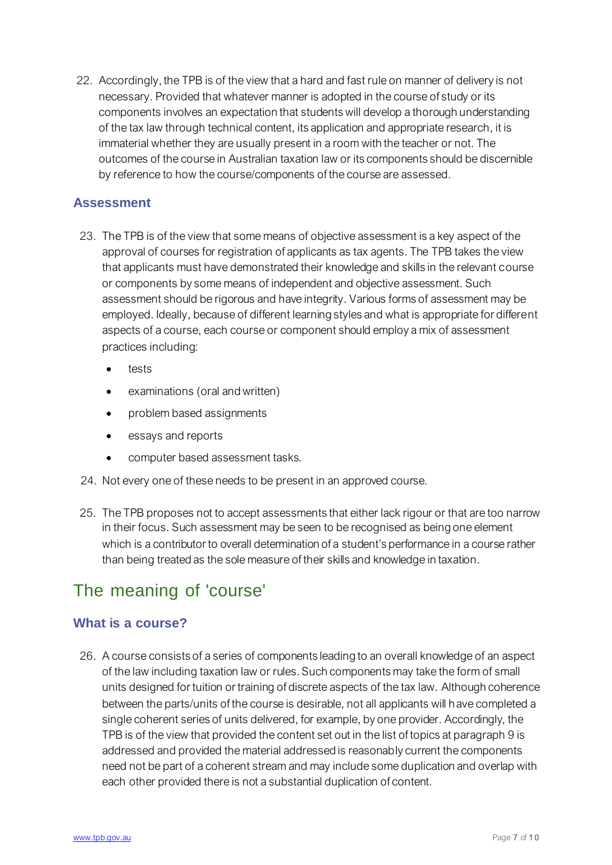22. Accordingly, the TPB is of the view that a hard and fast rule on manner of delivery is not necessary. Provided that whatever manner is adopted in the course of study or its components involves an expectation that students will develop a thorough understanding of the tax law through technical content, its application and appropriate research, it is immaterial whether they are usually present in a room with the teacher or not. The outcomes of the course in Australian taxation law or its components should be discernible by reference to how the course/components of the course are assessed.

#### **Assessment**

- 23. The TPB is of the view that some means of objective assessment is a key aspect of the approval of courses for registration of applicants as tax agents. The TPB takes the view that applicants must have demonstrated their knowledge and skills in the relevant course or components by some means of independent and objective assessment. Such assessment should be rigorous and have integrity. Various forms of assessment may be employed. Ideally, because of different learning styles and what is appropriate for different aspects of a course, each course or component should employ a mix of assessment practices including:
	- tests
	- examinations (oral and written)
	- problem based assignments
	- essays and reports
	- computer based assessment tasks.
- 24. Not every one of these needs to be present in an approved course.
- 25. The TPB proposes not to accept assessments that either lack rigour or that are too narrow in their focus. Such assessment may be seen to be recognised as being one element which is a contributor to overall determination of a student's performance in a course rather than being treated as the sole measure of their skills and knowledge in taxation.

## The meaning of 'course'

#### **What is a course?**

26. A course consists of a series of components leading to an overall knowledge of an aspect of the law including taxation law or rules. Such components may take the form of small units designed for tuition or training of discrete aspects of the tax law. Although coherence between the parts/units of the course is desirable, not all applicants will have completed a single coherent series of units delivered, for example, by one provider. Accordingly, the TPB is of the view that provided the content set out in the list of topics at paragraph 9 is addressed and provided the material addressed is reasonably current the components need not be part of a coherent stream and may include some duplication and overlap with each other provided there is not a substantial duplication of content.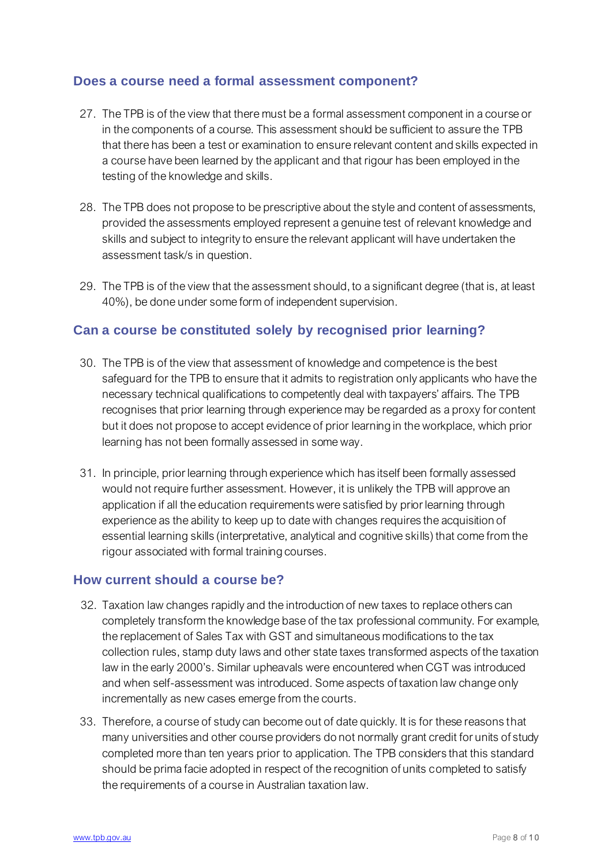#### **Does a course need a formal assessment component?**

- 27. The TPB is of the view that there must be a formal assessment component in a course or in the components of a course. This assessment should be sufficient to assure the TPB that there has been a test or examination to ensure relevant content and skills expected in a course have been learned by the applicant and that rigour has been employed in the testing of the knowledge and skills.
- 28. The TPB does not propose to be prescriptive about the style and content of assessments, provided the assessments employed represent a genuine test of relevant knowledge and skills and subject to integrity to ensure the relevant applicant will have undertaken the assessment task/s in question.
- 29. The TPB is of the view that the assessment should, to a significant degree (that is, at least 40%), be done under some form of independent supervision.

#### **Can a course be constituted solely by recognised prior learning?**

- 30. The TPB is of the view that assessment of knowledge and competence is the best safeguard for the TPB to ensure that it admits to registration only applicants who have the necessary technical qualifications to competently deal with taxpayers' affairs. The TPB recognises that prior learning through experience may be regarded as a proxy for content but it does not propose to accept evidence of prior learning in the workplace, which prior learning has not been formally assessed in some way.
- 31. In principle, prior learning through experience which has itself been formally assessed would not require further assessment. However, it is unlikely the TPB will approve an application if all the education requirements were satisfied by prior learning through experience as the ability to keep up to date with changes requires the acquisition of essential learning skills (interpretative, analytical and cognitive skills) that come from the rigour associated with formal training courses.

#### **How current should a course be?**

- 32. Taxation law changes rapidly and the introduction of new taxes to replace others can completely transform the knowledge base of the tax professional community. For example, the replacement of Sales Tax with GST and simultaneous modifications to the tax collection rules, stamp duty laws and other state taxes transformed aspects of the taxation law in the early 2000's. Similar upheavals were encountered when CGT was introduced and when self-assessment was introduced. Some aspects of taxation law change only incrementally as new cases emerge from the courts.
- 33. Therefore, a course of study can become out of date quickly. It is for these reasons that many universities and other course providers do not normally grant credit for units of study completed more than ten years prior to application. The TPB considers that this standard should be prima facie adopted in respect of the recognition of units completed to satisfy the requirements of a course in Australian taxation law.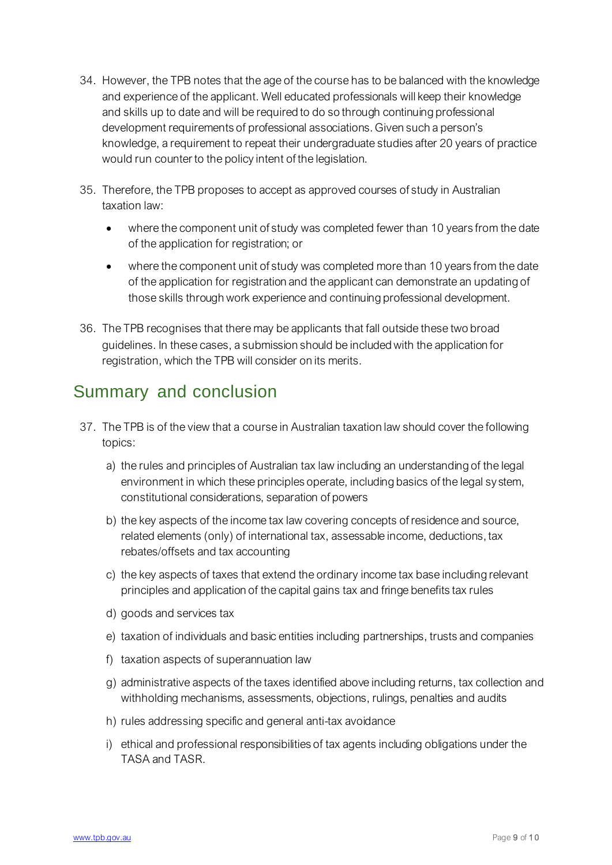- 34. However, the TPB notes that the age of the course has to be balanced with the knowledge and experience of the applicant. Well educated professionals will keep their knowledge and skills up to date and will be required to do so through continuing professional development requirements of professional associations. Given such a person's knowledge, a requirement to repeat their undergraduate studies after 20 years of practice would run counter to the policy intent of the legislation.
- 35. Therefore, the TPB proposes to accept as approved courses of study in Australian taxation law:
	- where the component unit of study was completed fewer than 10 years from the date of the application for registration; or
	- where the component unit of study was completed more than 10 years from the date of the application for registration and the applicant can demonstrate an updating of those skills through work experience and continuing professional development.
- 36. The TPB recognises that there may be applicants that fall outside these two broad guidelines. In these cases, a submission should be included with the application for registration, which the TPB will consider on its merits.

# Summary and conclusion

- 37. The TPB is of the view that a course in Australian taxation law should cover the following topics:
	- a) the rules and principles of Australian tax law including an understanding of the legal environment in which these principles operate, including basics of the legal sy stem, constitutional considerations, separation of powers
	- b) the key aspects of the income tax law covering concepts of residence and source, related elements (only) of international tax, assessable income, deductions, tax rebates/offsets and tax accounting
	- c) the key aspects of taxes that extend the ordinary income tax base including relevant principles and application of the capital gains tax and fringe benefits tax rules
	- d) goods and services tax
	- e) taxation of individuals and basic entities including partnerships, trusts and companies
	- f) taxation aspects of superannuation law
	- g) administrative aspects of the taxes identified above including returns, tax collection and withholding mechanisms, assessments, objections, rulings, penalties and audits
	- h) rules addressing specific and general anti-tax avoidance
	- i) ethical and professional responsibilities of tax agents including obligations under the TASA and TASR.